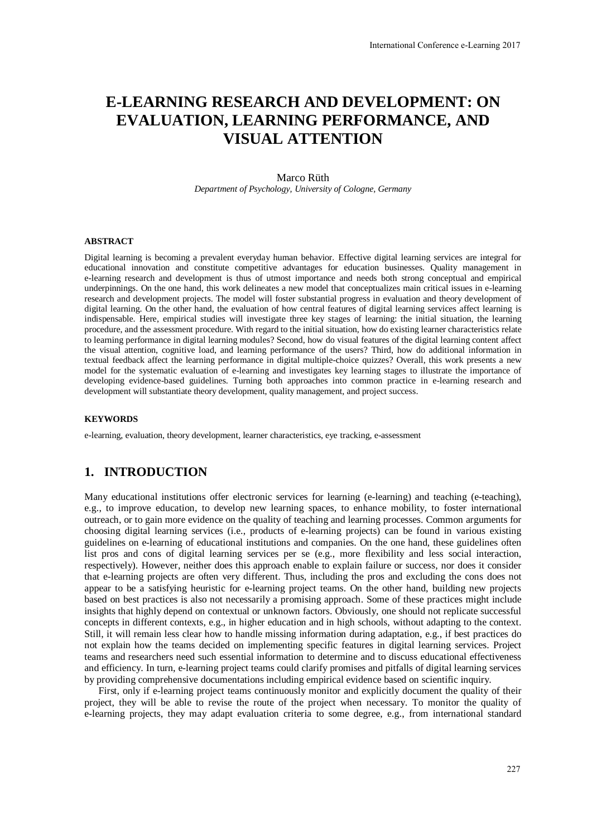# **E-LEARNING RESEARCH AND DEVELOPMENT: ON EVALUATION, LEARNING PERFORMANCE, AND VISUAL ATTENTION**

#### Marco Rüth

*Department of Psychology, University of Cologne, Germany* 

#### **ABSTRACT**

Digital learning is becoming a prevalent everyday human behavior. Effective digital learning services are integral for educational innovation and constitute competitive advantages for education businesses. Quality management in e-learning research and development is thus of utmost importance and needs both strong conceptual and empirical underpinnings. On the one hand, this work delineates a new model that conceptualizes main critical issues in e-learning research and development projects. The model will foster substantial progress in evaluation and theory development of digital learning. On the other hand, the evaluation of how central features of digital learning services affect learning is indispensable. Here, empirical studies will investigate three key stages of learning: the initial situation, the learning procedure, and the assessment procedure. With regard to the initial situation, how do existing learner characteristics relate to learning performance in digital learning modules? Second, how do visual features of the digital learning content affect the visual attention, cognitive load, and learning performance of the users? Third, how do additional information in textual feedback affect the learning performance in digital multiple-choice quizzes? Overall, this work presents a new model for the systematic evaluation of e-learning and investigates key learning stages to illustrate the importance of developing evidence-based guidelines. Turning both approaches into common practice in e-learning research and development will substantiate theory development, quality management, and project success.

#### **KEYWORDS**

e-learning, evaluation, theory development, learner characteristics, eye tracking, e-assessment

# **1. INTRODUCTION**

Many educational institutions offer electronic services for learning (e-learning) and teaching (e-teaching), e.g., to improve education, to develop new learning spaces, to enhance mobility, to foster international outreach, or to gain more evidence on the quality of teaching and learning processes. Common arguments for choosing digital learning services (i.e., products of e-learning projects) can be found in various existing guidelines on e-learning of educational institutions and companies. On the one hand, these guidelines often list pros and cons of digital learning services per se (e.g., more flexibility and less social interaction, respectively). However, neither does this approach enable to explain failure or success, nor does it consider that e-learning projects are often very different. Thus, including the pros and excluding the cons does not appear to be a satisfying heuristic for e-learning project teams. On the other hand, building new projects based on best practices is also not necessarily a promising approach. Some of these practices might include insights that highly depend on contextual or unknown factors. Obviously, one should not replicate successful concepts in different contexts, e.g., in higher education and in high schools, without adapting to the context. Still, it will remain less clear how to handle missing information during adaptation, e.g., if best practices do not explain how the teams decided on implementing specific features in digital learning services. Project teams and researchers need such essential information to determine and to discuss educational effectiveness and efficiency. In turn, e-learning project teams could clarify promises and pitfalls of digital learning services by providing comprehensive documentations including empirical evidence based on scientific inquiry.

First, only if e-learning project teams continuously monitor and explicitly document the quality of their project, they will be able to revise the route of the project when necessary. To monitor the quality of e-learning projects, they may adapt evaluation criteria to some degree, e.g., from international standard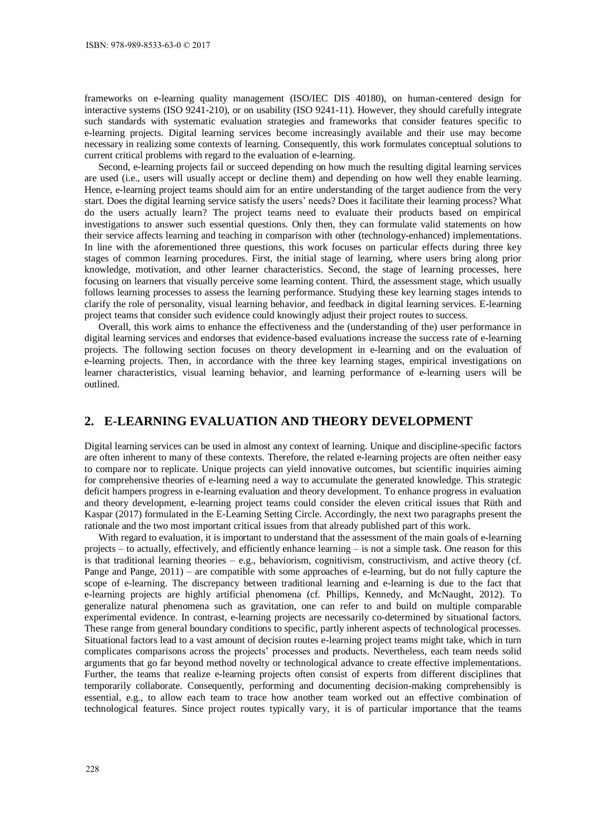frameworks on e-learning quality management (ISO/IEC DIS 40180), on human-centered design for interactive systems (ISO 9241-210), or on usability (ISO 9241-11). However, they should carefully integrate such standards with systematic evaluation strategies and frameworks that consider features specific to e-learning projects. Digital learning services become increasingly available and their use may become necessary in realizing some contexts of learning. Consequently, this work formulates conceptual solutions to current critical problems with regard to the evaluation of e-learning.

Second, e-learning projects fail or succeed depending on how much the resulting digital learning services are used (i.e., users will usually accept or decline them) and depending on how well they enable learning. Hence, e-learning project teams should aim for an entire understanding of the target audience from the very start. Does the digital learning service satisfy the users' needs? Does it facilitate their learning process? What do the users actually learn? The project teams need to evaluate their products based on empirical investigations to answer such essential questions. Only then, they can formulate valid statements on how their service affects learning and teaching in comparison with other (technology-enhanced) implementations. In line with the aforementioned three questions, this work focuses on particular effects during three key stages of common learning procedures. First, the initial stage of learning, where users bring along prior knowledge, motivation, and other learner characteristics. Second, the stage of learning processes, here focusing on learners that visually perceive some learning content. Third, the assessment stage, which usually follows learning processes to assess the learning performance. Studying these key learning stages intends to clarify the role of personality, visual learning behavior, and feedback in digital learning services. E-learning project teams that consider such evidence could knowingly adjust their project routes to success.

Overall, this work aims to enhance the effectiveness and the (understanding of the) user performance in digital learning services and endorses that evidence-based evaluations increase the success rate of e-learning projects. The following section focuses on theory development in e-learning and on the evaluation of e-learning projects. Then, in accordance with the three key learning stages, empirical investigations on learner characteristics, visual learning behavior, and learning performance of e-learning users will be outlined.

# **2. E-LEARNING EVALUATION AND THEORY DEVELOPMENT**

Digital learning services can be used in almost any context of learning. Unique and discipline-specific factors are often inherent to many of these contexts. Therefore, the related e-learning projects are often neither easy to compare nor to replicate. Unique projects can yield innovative outcomes, but scientific inquiries aiming for comprehensive theories of e-learning need a way to accumulate the generated knowledge. This strategic deficit hampers progress in e-learning evaluation and theory development. To enhance progress in evaluation and theory development, e-learning project teams could consider the eleven critical issues that Rüth and Kaspar (2017) formulated in the E-Learning Setting Circle. Accordingly, the next two paragraphs present the rationale and the two most important critical issues from that already published part of this work.

With regard to evaluation, it is important to understand that the assessment of the main goals of e-learning projects – to actually, effectively, and efficiently enhance learning – is not a simple task. One reason for this is that traditional learning theories – e.g., behaviorism, cognitivism, constructivism, and active theory (cf. Pange and Pange, 2011) – are compatible with some approaches of e-learning, but do not fully capture the scope of e-learning. The discrepancy between traditional learning and e-learning is due to the fact that e-learning projects are highly artificial phenomena (cf. Phillips, Kennedy, and McNaught, 2012). To generalize natural phenomena such as gravitation, one can refer to and build on multiple comparable experimental evidence. In contrast, e-learning projects are necessarily co-determined by situational factors. These range from general boundary conditions to specific, partly inherent aspects of technological processes. Situational factors lead to a vast amount of decision routes e-learning project teams might take, which in turn complicates comparisons across the projects' processes and products. Nevertheless, each team needs solid arguments that go far beyond method novelty or technological advance to create effective implementations. Further, the teams that realize e-learning projects often consist of experts from different disciplines that temporarily collaborate. Consequently, performing and documenting decision-making comprehensibly is essential, e.g., to allow each team to trace how another team worked out an effective combination of technological features. Since project routes typically vary, it is of particular importance that the teams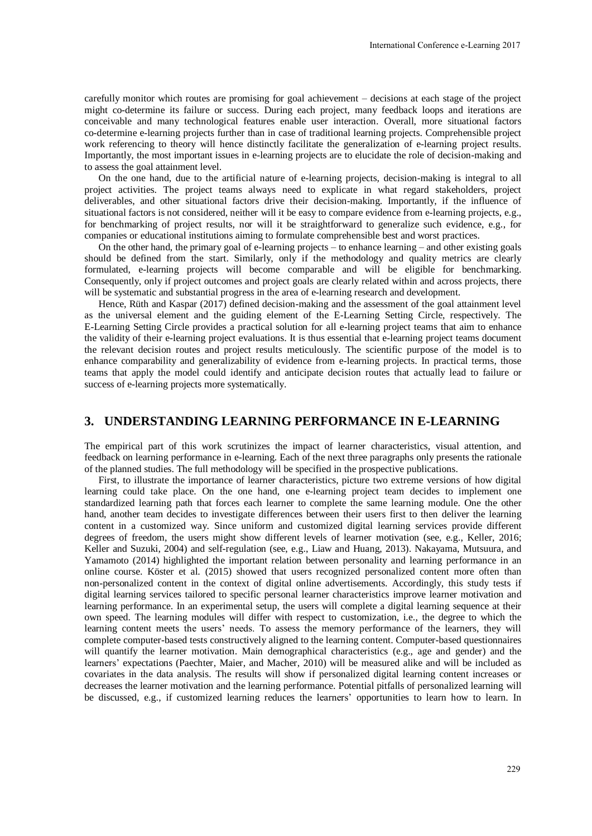carefully monitor which routes are promising for goal achievement – decisions at each stage of the project might co-determine its failure or success. During each project, many feedback loops and iterations are conceivable and many technological features enable user interaction. Overall, more situational factors co-determine e-learning projects further than in case of traditional learning projects. Comprehensible project work referencing to theory will hence distinctly facilitate the generalization of e-learning project results. Importantly, the most important issues in e-learning projects are to elucidate the role of decision-making and to assess the goal attainment level.

On the one hand, due to the artificial nature of e-learning projects, decision-making is integral to all project activities. The project teams always need to explicate in what regard stakeholders, project deliverables, and other situational factors drive their decision-making. Importantly, if the influence of situational factors is not considered, neither will it be easy to compare evidence from e-learning projects, e.g., for benchmarking of project results, nor will it be straightforward to generalize such evidence, e.g., for companies or educational institutions aiming to formulate comprehensible best and worst practices.

On the other hand, the primary goal of e-learning projects – to enhance learning – and other existing goals should be defined from the start. Similarly, only if the methodology and quality metrics are clearly formulated, e-learning projects will become comparable and will be eligible for benchmarking. Consequently, only if project outcomes and project goals are clearly related within and across projects, there will be systematic and substantial progress in the area of e-learning research and development.

Hence, Rüth and Kaspar (2017) defined decision-making and the assessment of the goal attainment level as the universal element and the guiding element of the E-Learning Setting Circle, respectively. The E-Learning Setting Circle provides a practical solution for all e-learning project teams that aim to enhance the validity of their e-learning project evaluations. It is thus essential that e-learning project teams document the relevant decision routes and project results meticulously. The scientific purpose of the model is to enhance comparability and generalizability of evidence from e-learning projects. In practical terms, those teams that apply the model could identify and anticipate decision routes that actually lead to failure or success of e-learning projects more systematically.

## **3. UNDERSTANDING LEARNING PERFORMANCE IN E-LEARNING**

The empirical part of this work scrutinizes the impact of learner characteristics, visual attention, and feedback on learning performance in e-learning. Each of the next three paragraphs only presents the rationale of the planned studies. The full methodology will be specified in the prospective publications.

First, to illustrate the importance of learner characteristics, picture two extreme versions of how digital learning could take place. On the one hand, one e-learning project team decides to implement one standardized learning path that forces each learner to complete the same learning module. One the other hand, another team decides to investigate differences between their users first to then deliver the learning content in a customized way. Since uniform and customized digital learning services provide different degrees of freedom, the users might show different levels of learner motivation (see, e.g., Keller, 2016; Keller and Suzuki, 2004) and self-regulation (see, e.g., Liaw and Huang, 2013). Nakayama, Mutsuura, and Yamamoto (2014) highlighted the important relation between personality and learning performance in an online course. Köster et al. (2015) showed that users recognized personalized content more often than non-personalized content in the context of digital online advertisements. Accordingly, this study tests if digital learning services tailored to specific personal learner characteristics improve learner motivation and learning performance. In an experimental setup, the users will complete a digital learning sequence at their own speed. The learning modules will differ with respect to customization, i.e., the degree to which the learning content meets the users' needs. To assess the memory performance of the learners, they will complete computer-based tests constructively aligned to the learning content. Computer-based questionnaires will quantify the learner motivation. Main demographical characteristics (e.g., age and gender) and the learners' expectations (Paechter, Maier, and Macher, 2010) will be measured alike and will be included as covariates in the data analysis. The results will show if personalized digital learning content increases or decreases the learner motivation and the learning performance. Potential pitfalls of personalized learning will be discussed, e.g., if customized learning reduces the learners' opportunities to learn how to learn. In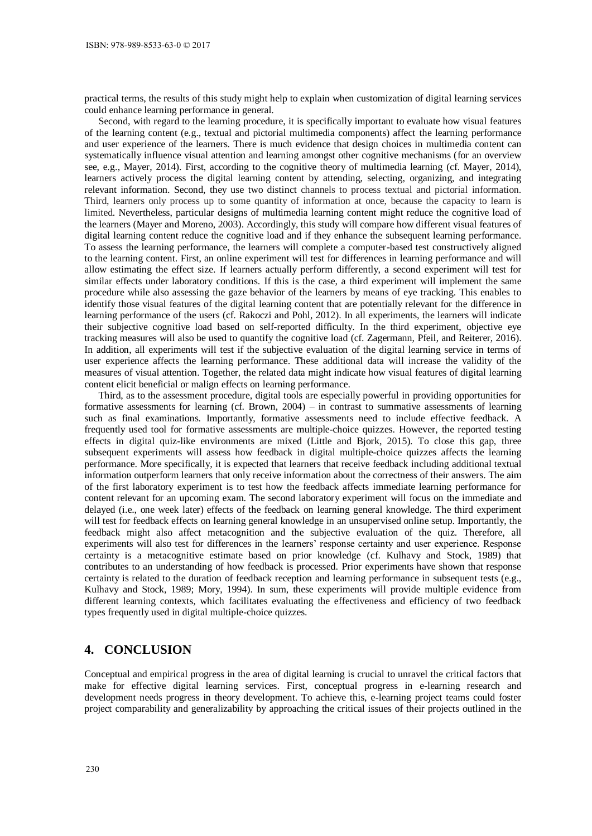practical terms, the results of this study might help to explain when customization of digital learning services could enhance learning performance in general.

Second, with regard to the learning procedure, it is specifically important to evaluate how visual features of the learning content (e.g., textual and pictorial multimedia components) affect the learning performance and user experience of the learners. There is much evidence that design choices in multimedia content can systematically influence visual attention and learning amongst other cognitive mechanisms (for an overview see, e.g., Mayer, 2014). First, according to the cognitive theory of multimedia learning (cf. Mayer, 2014), learners actively process the digital learning content by attending, selecting, organizing, and integrating relevant information. Second, they use two distinct channels to process textual and pictorial information. Third, learners only process up to some quantity of information at once, because the capacity to learn is limited. Nevertheless, particular designs of multimedia learning content might reduce the cognitive load of the learners (Mayer and Moreno, 2003). Accordingly, this study will compare how different visual features of digital learning content reduce the cognitive load and if they enhance the subsequent learning performance. To assess the learning performance, the learners will complete a computer-based test constructively aligned to the learning content. First, an online experiment will test for differences in learning performance and will allow estimating the effect size. If learners actually perform differently, a second experiment will test for similar effects under laboratory conditions. If this is the case, a third experiment will implement the same procedure while also assessing the gaze behavior of the learners by means of eye tracking. This enables to identify those visual features of the digital learning content that are potentially relevant for the difference in learning performance of the users (cf. Rakoczi and Pohl, 2012). In all experiments, the learners will indicate their subjective cognitive load based on self-reported difficulty. In the third experiment, objective eye tracking measures will also be used to quantify the cognitive load (cf. Zagermann, Pfeil, and Reiterer, 2016). In addition, all experiments will test if the subjective evaluation of the digital learning service in terms of user experience affects the learning performance. These additional data will increase the validity of the measures of visual attention. Together, the related data might indicate how visual features of digital learning content elicit beneficial or malign effects on learning performance.

Third, as to the assessment procedure, digital tools are especially powerful in providing opportunities for formative assessments for learning (cf. Brown, 2004) – in contrast to summative assessments of learning such as final examinations. Importantly, formative assessments need to include effective feedback. A frequently used tool for formative assessments are multiple-choice quizzes. However, the reported testing effects in digital quiz-like environments are mixed (Little and Bjork, 2015). To close this gap, three subsequent experiments will assess how feedback in digital multiple-choice quizzes affects the learning performance. More specifically, it is expected that learners that receive feedback including additional textual information outperform learners that only receive information about the correctness of their answers. The aim of the first laboratory experiment is to test how the feedback affects immediate learning performance for content relevant for an upcoming exam. The second laboratory experiment will focus on the immediate and delayed (i.e., one week later) effects of the feedback on learning general knowledge. The third experiment will test for feedback effects on learning general knowledge in an unsupervised online setup. Importantly, the feedback might also affect metacognition and the subjective evaluation of the quiz. Therefore, all experiments will also test for differences in the learners' response certainty and user experience. Response certainty is a metacognitive estimate based on prior knowledge (cf. Kulhavy and Stock, 1989) that contributes to an understanding of how feedback is processed. Prior experiments have shown that response certainty is related to the duration of feedback reception and learning performance in subsequent tests (e.g., Kulhavy and Stock, 1989; Mory, 1994). In sum, these experiments will provide multiple evidence from different learning contexts, which facilitates evaluating the effectiveness and efficiency of two feedback types frequently used in digital multiple-choice quizzes.

# **4. CONCLUSION**

Conceptual and empirical progress in the area of digital learning is crucial to unravel the critical factors that make for effective digital learning services. First, conceptual progress in e-learning research and development needs progress in theory development. To achieve this, e-learning project teams could foster project comparability and generalizability by approaching the critical issues of their projects outlined in the